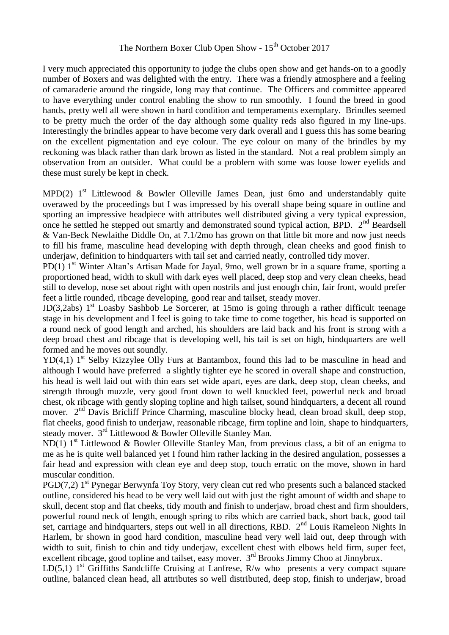## The Northern Boxer Club Open Show -  $15<sup>th</sup>$  October 2017

I very much appreciated this opportunity to judge the clubs open show and get hands-on to a goodly number of Boxers and was delighted with the entry. There was a friendly atmosphere and a feeling of camaraderie around the ringside, long may that continue. The Officers and committee appeared to have everything under control enabling the show to run smoothly. I found the breed in good hands, pretty well all were shown in hard condition and temperaments exemplary. Brindles seemed to be pretty much the order of the day although some quality reds also figured in my line-ups. Interestingly the brindles appear to have become very dark overall and I guess this has some bearing on the excellent pigmentation and eye colour. The eye colour on many of the brindles by my reckoning was black rather than dark brown as listed in the standard. Not a real problem simply an observation from an outsider. What could be a problem with some was loose lower eyelids and these must surely be kept in check.

MPD(2)  $1<sup>st</sup>$  Littlewood & Bowler Olleville James Dean, just 6mo and understandably quite overawed by the proceedings but I was impressed by his overall shape being square in outline and sporting an impressive headpiece with attributes well distributed giving a very typical expression, once he settled he stepped out smartly and demonstrated sound typical action, BPD. 2<sup>nd</sup> Beardsell & Van-Beck Newlaithe Diddle On, at 7.1/2mo has grown on that little bit more and now just needs to fill his frame, masculine head developing with depth through, clean cheeks and good finish to underjaw, definition to hindquarters with tail set and carried neatly, controlled tidy mover.

PD(1)  $1<sup>st</sup>$  Winter Altan's Artisan Made for Jayal, 9mo, well grown br in a square frame, sporting a proportioned head, width to skull with dark eyes well placed, deep stop and very clean cheeks, head still to develop, nose set about right with open nostrils and just enough chin, fair front, would prefer feet a little rounded, ribcage developing, good rear and tailset, steady mover.

JD(3,2abs)  $1<sup>st</sup>$  Loasby Sashbob Le Sorcerer, at 15mo is going through a rather difficult teenage stage in his development and I feel is going to take time to come together, his head is supported on a round neck of good length and arched, his shoulders are laid back and his front is strong with a deep broad chest and ribcage that is developing well, his tail is set on high, hindquarters are well formed and he moves out soundly.

 $YD(4,1)$  1<sup>st</sup> Selby Kizzylee Olly Furs at Bantambox, found this lad to be masculine in head and although I would have preferred a slightly tighter eye he scored in overall shape and construction, his head is well laid out with thin ears set wide apart, eyes are dark, deep stop, clean cheeks, and strength through muzzle, very good front down to well knuckled feet, powerful neck and broad chest, ok ribcage with gently sloping topline and high tailset, sound hindquarters, a decent all round mover.  $2<sup>nd</sup>$  Davis Bricliff Prince Charming, masculine blocky head, clean broad skull, deep stop, flat cheeks, good finish to underjaw, reasonable ribcage, firm topline and loin, shape to hindquarters, steady mover. 3rd Littlewood & Bowler Olleville Stanley Man.

ND(1)  $1<sup>st</sup>$  Littlewood & Bowler Olleville Stanley Man, from previous class, a bit of an enigma to me as he is quite well balanced yet I found him rather lacking in the desired angulation, possesses a fair head and expression with clean eye and deep stop, touch erratic on the move, shown in hard muscular condition.

PGD(7,2) 1<sup>st</sup> Pynegar Berwynfa Toy Story, very clean cut red who presents such a balanced stacked outline, considered his head to be very well laid out with just the right amount of width and shape to skull, decent stop and flat cheeks, tidy mouth and finish to underjaw, broad chest and firm shoulders, powerful round neck of length, enough spring to ribs which are carried back, short back, good tail set, carriage and hindquarters, steps out well in all directions, RBD.  $2<sup>nd</sup>$  Louis Rameleon Nights In Harlem, br shown in good hard condition, masculine head very well laid out, deep through with width to suit, finish to chin and tidy underjaw, excellent chest with elbows held firm, super feet, excellent ribcage, good topline and tailset, easy mover. 3<sup>rd</sup> Brooks Jimmy Choo at Jinnybrux.

LD(5,1) 1<sup>st</sup> Griffiths Sandcliffe Cruising at Lanfrese, R/w who presents a very compact square outline, balanced clean head, all attributes so well distributed, deep stop, finish to underjaw, broad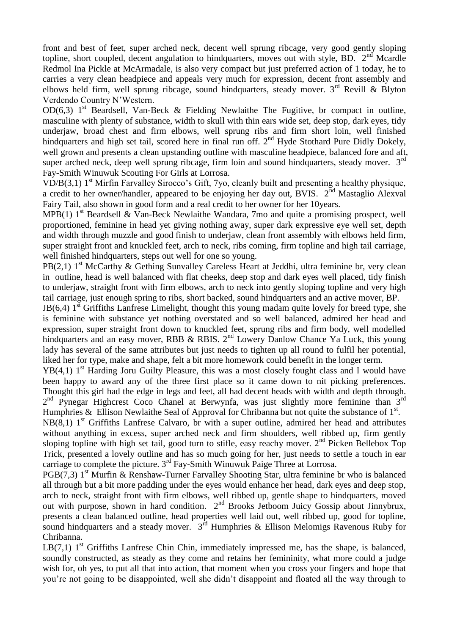front and best of feet, super arched neck, decent well sprung ribcage, very good gently sloping topline, short coupled, decent angulation to hindquarters, moves out with style, BD.  $2<sup>nd</sup>$  Mcardle Redmol Ina Pickle at McArmadale, is also very compact but just preferred action of 1 today, he to carries a very clean headpiece and appeals very much for expression, decent front assembly and elbows held firm, well sprung ribcage, sound hindquarters, steady mover.  $3<sup>rd</sup>$  Revill & Blyton Verdendo Country N'Western.

OD(6,3) 1<sup>st</sup> Beardsell, Van-Beck & Fielding Newlaithe The Fugitive, br compact in outline, masculine with plenty of substance, width to skull with thin ears wide set, deep stop, dark eyes, tidy underjaw, broad chest and firm elbows, well sprung ribs and firm short loin, well finished hindquarters and high set tail, scored here in final run off. 2<sup>nd</sup> Hyde Stothard Pure Didly Dokely, well grown and presents a clean upstanding outline with masculine headpiece, balanced fore and aft, super arched neck, deep well sprung ribcage, firm loin and sound hindquarters, steady mover.  $3<sup>rd</sup>$ Fay-Smith Winuwuk Scouting For Girls at Lorrosa.

VD/B(3,1)  $1<sup>st</sup>$  Mirfin Farvalley Sirocco's Gift, 7yo, cleanly built and presenting a healthy physique, a credit to her owner/handler, appeared to be enjoying her day out, BVIS.  $2^{\text{nd}}$  Mastaglio Alexval Fairy Tail, also shown in good form and a real credit to her owner for her 10years.

MPB(1)  $1<sup>st</sup>$  Beardsell & Van-Beck Newlaithe Wandara, 7mo and quite a promising prospect, well proportioned, feminine in head yet giving nothing away, super dark expressive eye well set, depth and width through muzzle and good finish to underjaw, clean front assembly with elbows held firm, super straight front and knuckled feet, arch to neck, ribs coming, firm topline and high tail carriage, well finished hindquarters, steps out well for one so young.

PB(2,1)  $1<sup>st</sup>$  McCarthy & Gething Sunvalley Careless Heart at Jeddhi, ultra feminine br, very clean in outline, head is well balanced with flat cheeks, deep stop and dark eyes well placed, tidy finish to underiaw, straight front with firm elbows, arch to neck into gently sloping topline and very high tail carriage, just enough spring to ribs, short backed, sound hindquarters and an active mover, BP.

 $JB(6,4)$  1<sup>st</sup> Griffiths Lanfrese Limelight, thought this young madam quite lovely for breed type, she is feminine with substance yet nothing overstated and so well balanced, admired her head and expression, super straight front down to knuckled feet, sprung ribs and firm body, well modelled hindquarters and an easy mover, RBB & RBIS.  $2^{nd}$  Lowery Danlow Chance Ya Luck, this young lady has several of the same attributes but just needs to tighten up all round to fulfil her potential, liked her for type, make and shape, felt a bit more homework could benefit in the longer term.

 $YB(4,1)$  1<sup>st</sup> Harding Joru Guilty Pleasure, this was a most closely fought class and I would have been happy to award any of the three first place so it came down to nit picking preferences. Thought this girl had the edge in legs and feet, all had decent heads with width and depth through. 2<sup>nd</sup> Pynegar Highcrest Coco Chanel at Berwynfa, was just slightly more feminine than 3<sup>rd</sup> Humphries & Ellison Newlaithe Seal of Approval for Chribanna but not quite the substance of  $1<sup>st</sup>$ .

 $NB(8,1)$  1<sup>st</sup> Griffiths Lanfrese Calvaro, br with a super outline, admired her head and attributes without anything in excess, super arched neck and firm shoulders, well ribbed up, firm gently sloping topline with high set tail, good turn to stifle, easy reachy mover. 2<sup>nd</sup> Picken Bellebox Top Trick, presented a lovely outline and has so much going for her, just needs to settle a touch in ear carriage to complete the picture. 3rd Fay-Smith Winuwuk Paige Three at Lorrosa.

 $PGB(7,3)$  1<sup>st</sup> Murfin & Renshaw-Turner Farvalley Shooting Star, ultra feminine br who is balanced all through but a bit more padding under the eyes would enhance her head, dark eyes and deep stop, arch to neck, straight front with firm elbows, well ribbed up, gentle shape to hindquarters, moved out with purpose, shown in hard condition.  $2<sup>nd</sup>$  Brooks Jetboom Juicy Gossip about Jinnybrux, presents a clean balanced outline, head properties well laid out, well ribbed up, good for topline, sound hindquarters and a steady mover.  $3<sup>rd</sup>$  Humphries & Ellison Melomigs Ravenous Ruby for Chribanna.

LB(7,1)  $1<sup>st</sup>$  Griffiths Lanfrese Chin Chin, immediately impressed me, has the shape, is balanced, soundly constructed, as steady as they come and retains her femininity, what more could a judge wish for, oh yes, to put all that into action, that moment when you cross your fingers and hope that you're not going to be disappointed, well she didn't disappoint and floated all the way through to